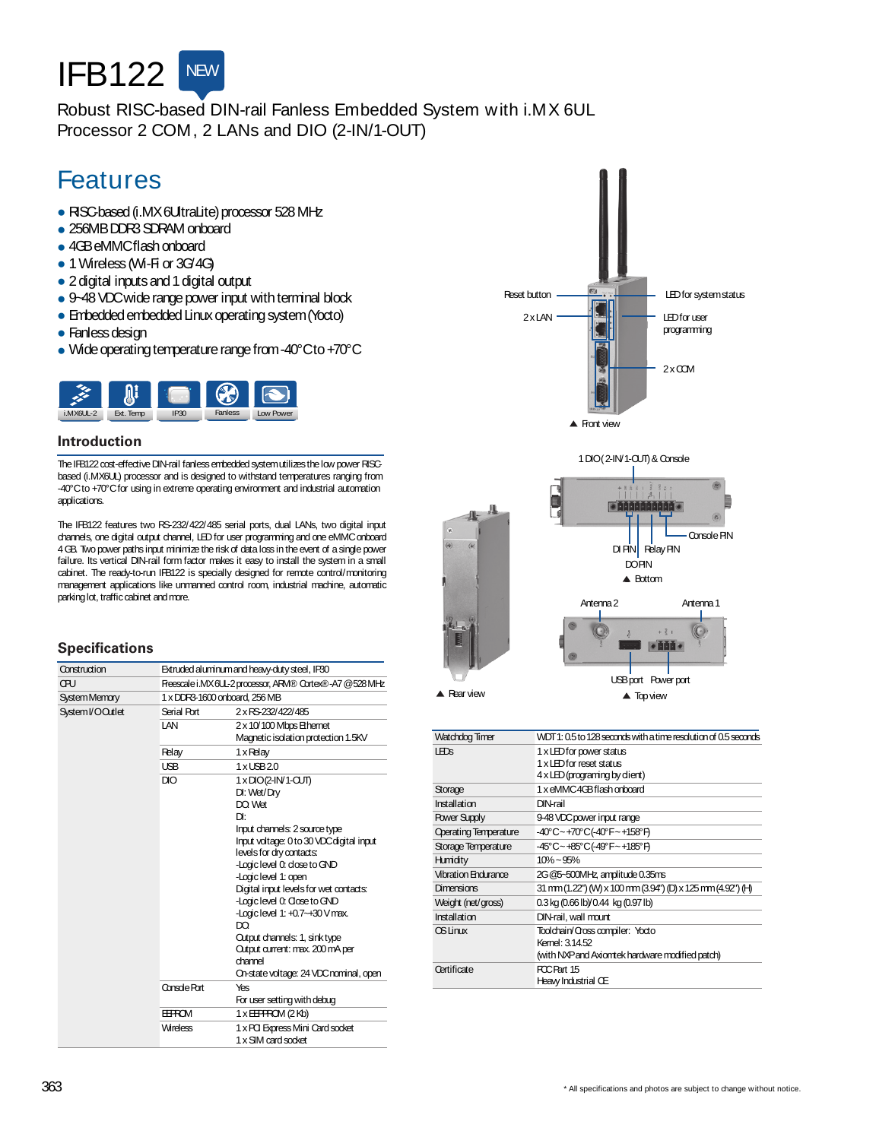

## Robust RISC-based DIN-rail Fanless Embedded System with i.MX 6UL Processor 2 COM, 2 LANs and DIO (2-IN/1-OUT)

# Features

- RISC-based (i.MX6UtraLite) processor 528 MHz
- 256MBDDR3 SDRAM onboard
- 4GBeMMCflash onboard
- 1 Wireless (Wi-Fi or 3G/4G)
- 2 digital inputs and 1 digital output
- 9-48 VDC wide range power input with terminal block
- Embedded embedded Linux operating system (Yocto)
- Fanless design
- Wide operating temperature range from -40°Cto +70°C



#### **Introduction**

The IFB122 cost-effective DIN-rail fanless embedded system utilizes the low power RISCbased (i.MX6UL) processor and is designed to withstand temperatures ranging from -40°C to +70°C for using in extreme operating environment and industrial automation applications.

The IFB122 features two RS-232/422/485 serial ports, dual LANs, two digital input channels, one digital output channel, LEDfor user programming and one eMMConboard 4 GB. Two power paths input minimize the risk of data loss in the event of a single power failure. Its vertical DIN-rail form factor makes it easy to install the system in a small cabinet. The ready-to-run IFB122 is specially designed for remote control/monitoring management applications like unmanned control room, industrial machine, automatic parkinglot, trafficcabinet andmore.

#### **Specifications**

| Construction      | Extruded aluminum and heavy-duty steel, IP30            |                                                                                                                                                                                                                                                                                                                                                                                                                                                                 |
|-------------------|---------------------------------------------------------|-----------------------------------------------------------------------------------------------------------------------------------------------------------------------------------------------------------------------------------------------------------------------------------------------------------------------------------------------------------------------------------------------------------------------------------------------------------------|
| <b>CRU</b>        | Freescale i.MX6UL-2 processor, ARM® Cortex®-A7 @528 MHz |                                                                                                                                                                                                                                                                                                                                                                                                                                                                 |
| System Memory     | 1 x DDR3-1600 onboard, 256 MB                           |                                                                                                                                                                                                                                                                                                                                                                                                                                                                 |
| System I/O Outlet | Serial Port                                             | 2 x RS-232/422/485                                                                                                                                                                                                                                                                                                                                                                                                                                              |
|                   | I AN                                                    | 2 x 10/100 Mbps Ethernet<br>Magnetic isolation protection 1.5KV                                                                                                                                                                                                                                                                                                                                                                                                 |
|                   | Relay                                                   | 1 x Relay                                                                                                                                                                                                                                                                                                                                                                                                                                                       |
|                   | <b>USB</b>                                              | $1x$ $\text{LSB}$ $20$                                                                                                                                                                                                                                                                                                                                                                                                                                          |
|                   | DIO                                                     | 1 x DIO(2-IN/1-CUT)<br>DI: Wet/Drv<br>DO Wet<br>Dŀ<br>Input channels: 2 source type<br>Input voltage: 0 to 30 VDC digital input<br>levels for dry contacts:<br>-Logic level 0: dose to GND<br>-Logic level 1: open<br>Digital input levels for wet contacts:<br>-Logic level 0: Close to GND<br>-Logic level 1: +0.7~+30 V max.<br>DO.<br>Output channels: 1, sink type<br>Output current: max. 200 mA per<br>channel<br>On-state voltage: 24 VDC nominal, open |
|                   | Console Rort                                            | Yes<br>For user setting with debug                                                                                                                                                                                                                                                                                                                                                                                                                              |
|                   | <b>EEFROM</b>                                           | $1 \times \text{EIFFGM}$ (2Kb)                                                                                                                                                                                                                                                                                                                                                                                                                                  |
|                   | <b>Wireless</b>                                         | 1 x PCI Express Mini Card socket<br>1 x SIM card socket                                                                                                                                                                                                                                                                                                                                                                                                         |